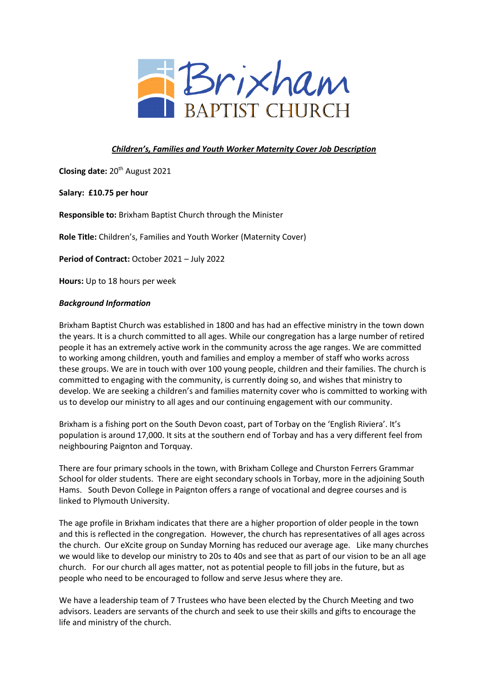

# *Children's, Families and Youth Worker Maternity Cover Job Description*

Closing date: 20<sup>th</sup> August 2021

**Salary: £10.75 per hour**

**Responsible to:** Brixham Baptist Church through the Minister

**Role Title:** Children's, Families and Youth Worker (Maternity Cover)

**Period of Contract:** October 2021 – July 2022

**Hours:** Up to 18 hours per week

#### *Background Information*

Brixham Baptist Church was established in 1800 and has had an effective ministry in the town down the years. It is a church committed to all ages. While our congregation has a large number of retired people it has an extremely active work in the community across the age ranges. We are committed to working among children, youth and families and employ a member of staff who works across these groups. We are in touch with over 100 young people, children and their families. The church is committed to engaging with the community, is currently doing so, and wishes that ministry to develop. We are seeking a children's and families maternity cover who is committed to working with us to develop our ministry to all ages and our continuing engagement with our community.

Brixham is a fishing port on the South Devon coast, part of Torbay on the 'English Riviera'. It's population is around 17,000. It sits at the southern end of Torbay and has a very different feel from neighbouring Paignton and Torquay.

There are four primary schools in the town, with Brixham College and Churston Ferrers Grammar School for older students. There are eight secondary schools in Torbay, more in the adjoining South Hams. South Devon College in Paignton offers a range of vocational and degree courses and is linked to Plymouth University.

The age profile in Brixham indicates that there are a higher proportion of older people in the town and this is reflected in the congregation. However, the church has representatives of all ages across the church. Our eXcite group on Sunday Morning has reduced our average age. Like many churches we would like to develop our ministry to 20s to 40s and see that as part of our vision to be an all age church. For our church all ages matter, not as potential people to fill jobs in the future, but as people who need to be encouraged to follow and serve Jesus where they are.

We have a leadership team of 7 Trustees who have been elected by the Church Meeting and two advisors. Leaders are servants of the church and seek to use their skills and gifts to encourage the life and ministry of the church.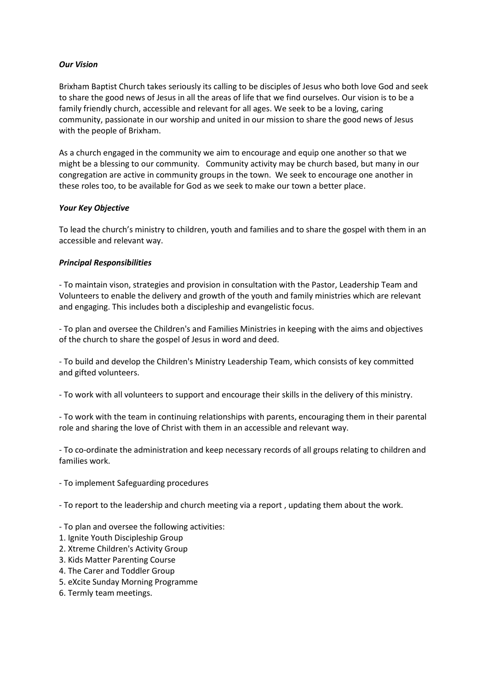### *Our Vision*

Brixham Baptist Church takes seriously its calling to be disciples of Jesus who both love God and seek to share the good news of Jesus in all the areas of life that we find ourselves. Our vision is to be a family friendly church, accessible and relevant for all ages. We seek to be a loving, caring community, passionate in our worship and united in our mission to share the good news of Jesus with the people of Brixham.

As a church engaged in the community we aim to encourage and equip one another so that we might be a blessing to our community. Community activity may be church based, but many in our congregation are active in community groups in the town. We seek to encourage one another in these roles too, to be available for God as we seek to make our town a better place.

# *Your Key Objective*

To lead the church's ministry to children, youth and families and to share the gospel with them in an accessible and relevant way.

# *Principal Responsibilities*

- To maintain vison, strategies and provision in consultation with the Pastor, Leadership Team and Volunteers to enable the delivery and growth of the youth and family ministries which are relevant and engaging. This includes both a discipleship and evangelistic focus.

- To plan and oversee the Children's and Families Ministries in keeping with the aims and objectives of the church to share the gospel of Jesus in word and deed.

- To build and develop the Children's Ministry Leadership Team, which consists of key committed and gifted volunteers.

- To work with all volunteers to support and encourage their skills in the delivery of this ministry.

- To work with the team in continuing relationships with parents, encouraging them in their parental role and sharing the love of Christ with them in an accessible and relevant way.

- To co-ordinate the administration and keep necessary records of all groups relating to children and families work.

- To implement Safeguarding procedures

- To report to the leadership and church meeting via a report , updating them about the work.

- To plan and oversee the following activities:
- 1. Ignite Youth Discipleship Group
- 2. Xtreme Children's Activity Group
- 3. Kids Matter Parenting Course
- 4. The Carer and Toddler Group
- 5. eXcite Sunday Morning Programme
- 6. Termly team meetings.